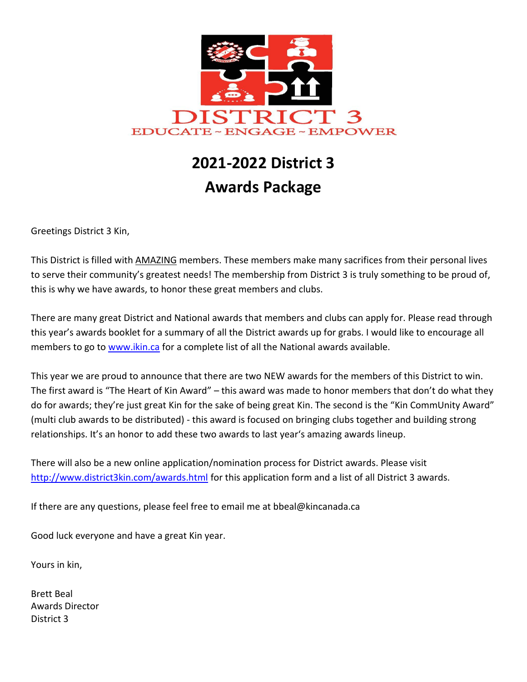

# **2021-2022 District 3 Awards Package**

Greetings District 3 Kin,

This District is filled with AMAZING members. These members make many sacrifices from their personal lives to serve their community's greatest needs! The membership from District 3 is truly something to be proud of, this is why we have awards, to honor these great members and clubs.

There are many great District and National awards that members and clubs can apply for. Please read through this year's awards booklet for a summary of all the District awards up for grabs. I would like to encourage all members to go to [www.ikin.ca](http://www.ikin.ca/) for a complete list of all the National awards available.

This year we are proud to announce that there are two NEW awards for the members of this District to win. The first award is "The Heart of Kin Award" – this award was made to honor members that don't do what they do for awards; they're just great Kin for the sake of being great Kin. The second is the "Kin CommUnity Award" (multi club awards to be distributed) - this award is focused on bringing clubs together and building strong relationships. It's an honor to add these two awards to last year's amazing awards lineup.

There will also be a new online application/nomination process for District awards. Please visit <http://www.district3kin.com/awards.html> for this application form and a list of all District 3 awards.

If there are any questions, please feel free to email me at bbeal@kincanada.ca

Good luck everyone and have a great Kin year.

Yours in kin,

Brett Beal Awards Director District 3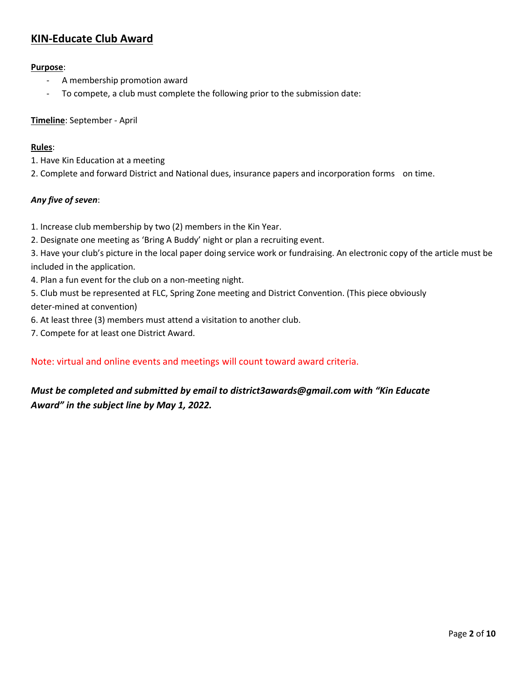# **KIN-Educate Club Award**

## **Purpose**:

- A membership promotion award
- To compete, a club must complete the following prior to the submission date:

## **Timeline**: September - April

#### **Rules**:

- 1. Have Kin Education at a meeting
- 2. Complete and forward District and National dues, insurance papers and incorporation forms on time.

## *Any five of seven*:

- 1. Increase club membership by two (2) members in the Kin Year.
- 2. Designate one meeting as 'Bring A Buddy' night or plan a recruiting event.
- 3. Have your club's picture in the local paper doing service work or fundraising. An electronic copy of the article must be included in the application.
- 4. Plan a fun event for the club on a non-meeting night.
- 5. Club must be represented at FLC, Spring Zone meeting and District Convention. (This piece obviously deter-mined at convention)
- 6. At least three (3) members must attend a visitation to another club.
- 7. Compete for at least one District Award.

## Note: virtual and online events and meetings will count toward award criteria.

# *Must be completed and submitted by email to district3awards@gmail.com with "Kin Educate Award" in the subject line by May 1, 2022.*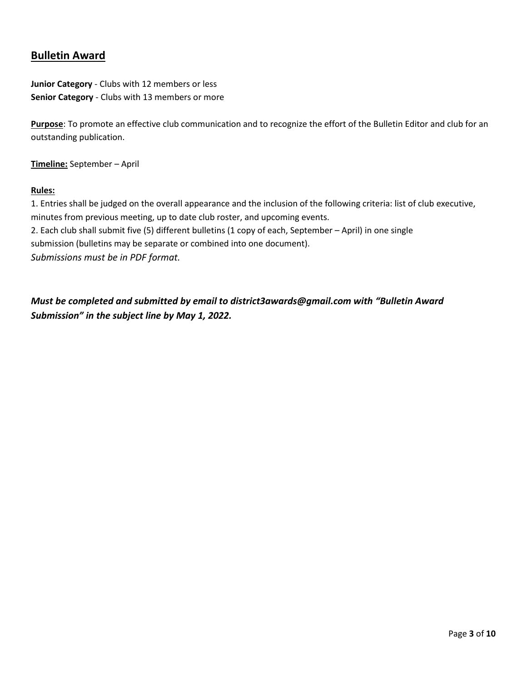# **Bulletin Award**

**Junior Category** - Clubs with 12 members or less **Senior Category** - Clubs with 13 members or more

**Purpose**: To promote an effective club communication and to recognize the effort of the Bulletin Editor and club for an outstanding publication.

**Timeline:** September – April

#### **Rules:**

1. Entries shall be judged on the overall appearance and the inclusion of the following criteria: list of club executive, minutes from previous meeting, up to date club roster, and upcoming events. 2. Each club shall submit five (5) different bulletins (1 copy of each, September – April) in one single submission (bulletins may be separate or combined into one document). *Submissions must be in PDF format.*

*Must be completed and submitted by email to district3awards@gmail.com with "Bulletin Award Submission" in the subject line by May 1, 2022.*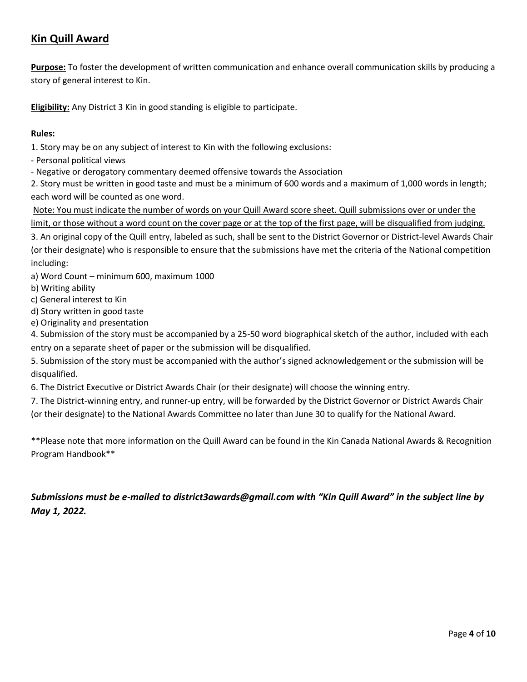# **Kin Quill Award**

**Purpose:** To foster the development of written communication and enhance overall communication skills by producing a story of general interest to Kin.

**Eligibility:** Any District 3 Kin in good standing is eligible to participate.

#### **Rules:**

1. Story may be on any subject of interest to Kin with the following exclusions:

- Personal political views

- Negative or derogatory commentary deemed offensive towards the Association

2. Story must be written in good taste and must be a minimum of 600 words and a maximum of 1,000 words in length; each word will be counted as one word.

Note: You must indicate the number of words on your Quill Award score sheet. Quill submissions over or under the limit, or those without a word count on the cover page or at the top of the first page, will be disqualified from judging.

3. An original copy of the Quill entry, labeled as such, shall be sent to the District Governor or District-level Awards Chair (or their designate) who is responsible to ensure that the submissions have met the criteria of the National competition including:

a) Word Count – minimum 600, maximum 1000

- b) Writing ability
- c) General interest to Kin
- d) Story written in good taste
- e) Originality and presentation

4. Submission of the story must be accompanied by a 25-50 word biographical sketch of the author, included with each entry on a separate sheet of paper or the submission will be disqualified.

5. Submission of the story must be accompanied with the author's signed acknowledgement or the submission will be disqualified.

6. The District Executive or District Awards Chair (or their designate) will choose the winning entry.

7. The District-winning entry, and runner-up entry, will be forwarded by the District Governor or District Awards Chair

(or their designate) to the National Awards Committee no later than June 30 to qualify for the National Award.

\*\*Please note that more information on the Quill Award can be found in the Kin Canada National Awards & Recognition Program Handbook\*\*

# *Submissions must be e-mailed to district3awards@gmail.com with "Kin Quill Award" in the subject line by May 1, 2022.*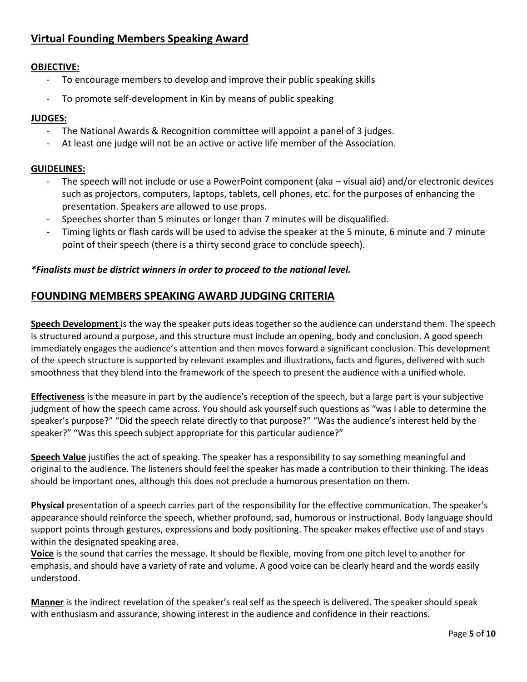# **Virtual Founding Members Speaking Award**

## **OBJECTIVE:**

- To encourage members to develop and improve their public speaking skills
- To promote self-development in Kin by means of public speaking

## **JUDGES:**

- The National Awards & Recognition committee will appoint a panel of 3 judges.
- At least one judge will not be an active or active life member of the Association.

## **GUIDELINES:**

- The speech will not include or use a PowerPoint component (aka visual aid) and/or electronic devices such as projectors, computers, laptops, tablets, cell phones, etc. for the purposes of enhancing the presentation. Speakers are allowed to use props.
- Speeches shorter than 5 minutes or longer than 7 minutes will be disqualified.
- Timing lights or flash cards will be used to advise the speaker at the 5 minute, 6 minute and 7 minute point of their speech (there is a thirty second grace to conclude speech).

## *\*Finalists must be district winners in order to proceed to the national level.*

# **FOUNDING MEMBERS SPEAKING AWARD JUDGING CRITERIA**

**Speech Development** is the way the speaker puts ideas together so the audience can understand them. The speech is structured around a purpose, and this structure must include an opening, body and conclusion. A good speech immediately engages the audience's attention and then moves forward a significant conclusion. This development of the speech structure is supported by relevant examples and illustrations, facts and figures, delivered with such smoothness that they blend into the framework of the speech to present the audience with a unified whole.

**Effectiveness** is the measure in part by the audience's reception of the speech, but a large part is your subjective judgment of how the speech came across. You should ask yourself such questions as "was I able to determine the speaker's purpose?" "Did the speech relate directly to that purpose?" "Was the audience's interest held by the speaker?" "Was this speech subject appropriate for this particular audience?"

**Speech Value** justifies the act of speaking. The speaker has a responsibility to say something meaningful and original to the audience. The listeners should feel the speaker has made a contribution to their thinking. The ideas should be important ones, although this does not preclude a humorous presentation on them.

**Physical** presentation of a speech carries part of the responsibility for the effective communication. The speaker's appearance should reinforce the speech, whether profound, sad, humorous or instructional. Body language should support points through gestures, expressions and body positioning. The speaker makes effective use of and stays within the designated speaking area.

**Voice** is the sound that carries the message. It should be flexible, moving from one pitch level to another for emphasis, and should have a variety of rate and volume. A good voice can be clearly heard and the words easily understood.

**Manner** is the indirect revelation of the speaker's real self as the speech is delivered. The speaker should speak with enthusiasm and assurance, showing interest in the audience and confidence in their reactions.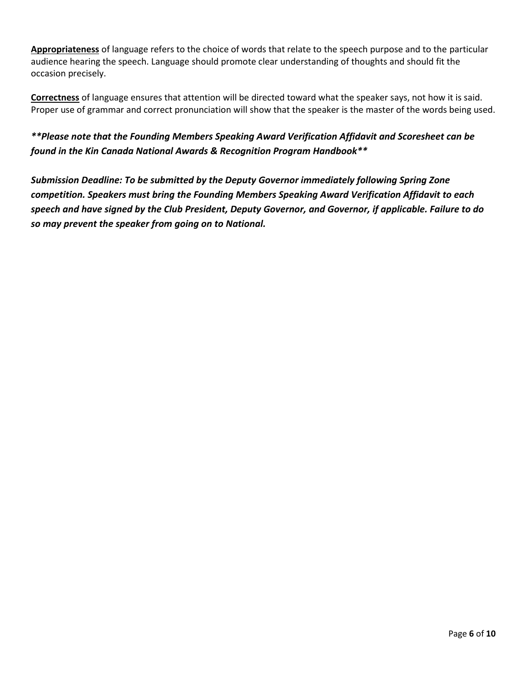**Appropriateness** of language refers to the choice of words that relate to the speech purpose and to the particular audience hearing the speech. Language should promote clear understanding of thoughts and should fit the occasion precisely.

**Correctness** of language ensures that attention will be directed toward what the speaker says, not how it is said. Proper use of grammar and correct pronunciation will show that the speaker is the master of the words being used.

*\*\*Please note that the Founding Members Speaking Award Verification Affidavit and Scoresheet can be found in the Kin Canada National Awards & Recognition Program Handbook\*\**

*Submission Deadline: To be submitted by the Deputy Governor immediately following Spring Zone competition. Speakers must bring the Founding Members Speaking Award Verification Affidavit to each speech and have signed by the Club President, Deputy Governor, and Governor, if applicable. Failure to do so may prevent the speaker from going on to National.*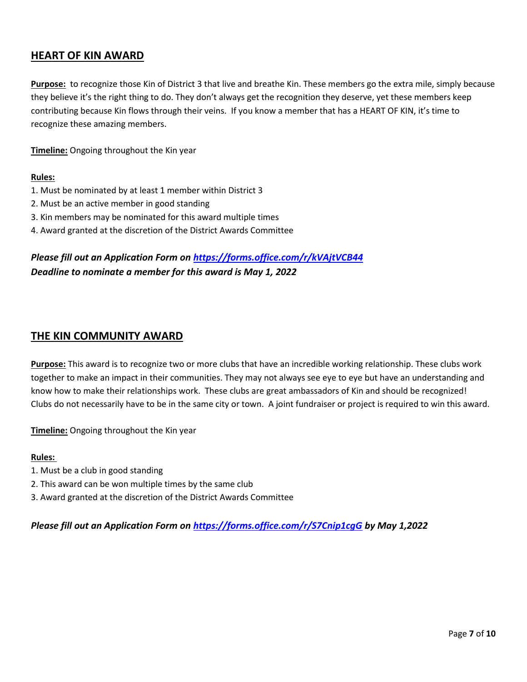# **HEART OF KIN AWARD**

**Purpose:** to recognize those Kin of District 3 that live and breathe Kin. These members go the extra mile, simply because they believe it's the right thing to do. They don't always get the recognition they deserve, yet these members keep contributing because Kin flows through their veins. If you know a member that has a HEART OF KIN, it's time to recognize these amazing members.

**Timeline:** Ongoing throughout the Kin year

#### **Rules:**

- 1. Must be nominated by at least 1 member within District 3
- 2. Must be an active member in good standing
- 3. Kin members may be nominated for this award multiple times
- 4. Award granted at the discretion of the District Awards Committee

## *Please fill out an Application Form on <https://forms.office.com/r/kVAjtVCB44> Deadline to nominate a member for this award is May 1, 2022*

## **THE KIN COMMUNITY AWARD**

**Purpose:** This award is to recognize two or more clubs that have an incredible working relationship. These clubs work together to make an impact in their communities. They may not always see eye to eye but have an understanding and know how to make their relationships work. These clubs are great ambassadors of Kin and should be recognized! Clubs do not necessarily have to be in the same city or town. A joint fundraiser or project is required to win this award.

**Timeline:** Ongoing throughout the Kin year

#### **Rules:**

- 1. Must be a club in good standing
- 2. This award can be won multiple times by the same club
- 3. Award granted at the discretion of the District Awards Committee

*Please fill out an Application Form on <https://forms.office.com/r/S7Cnip1cgG> by May 1,2022*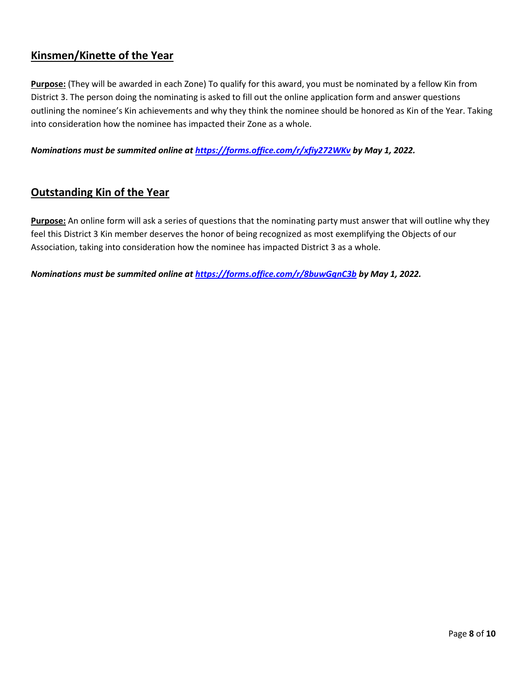# **Kinsmen/Kinette of the Year**

**Purpose:** (They will be awarded in each Zone) To qualify for this award, you must be nominated by a fellow Kin from District 3. The person doing the nominating is asked to fill out the online application form and answer questions outlining the nominee's Kin achievements and why they think the nominee should be honored as Kin of the Year. Taking into consideration how the nominee has impacted their Zone as a whole.

*Nominations must be summited online at<https://forms.office.com/r/xfiy272WKv> by May 1, 2022.*

## **Outstanding Kin of the Year**

**Purpose:** An online form will ask a series of questions that the nominating party must answer that will outline why they feel this District 3 Kin member deserves the honor of being recognized as most exemplifying the Objects of our Association, taking into consideration how the nominee has impacted District 3 as a whole.

*Nominations must be summited online at <https://forms.office.com/r/8buwGqnC3b> by May 1, 2022.*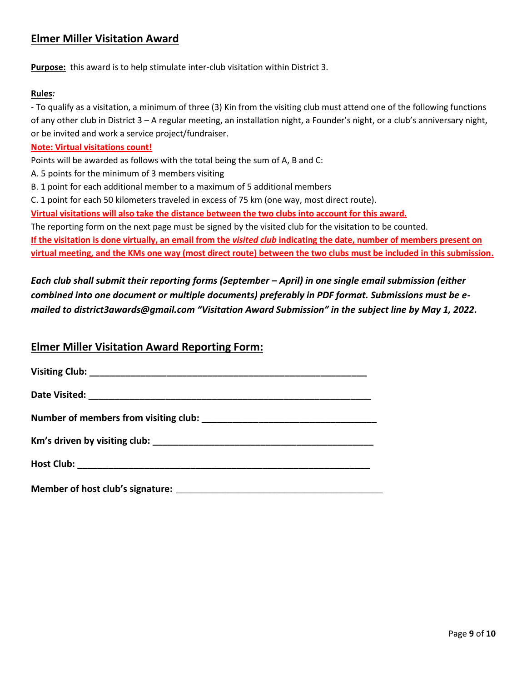# **Elmer Miller Visitation Award**

**Purpose:** this award is to help stimulate inter-club visitation within District 3.

#### **Rules***:*

- To qualify as a visitation, a minimum of three (3) Kin from the visiting club must attend one of the following functions of any other club in District 3 – A regular meeting, an installation night, a Founder's night, or a club's anniversary night, or be invited and work a service project/fundraiser.

#### **Note: Virtual visitations count!**

Points will be awarded as follows with the total being the sum of A, B and C:

- A. 5 points for the minimum of 3 members visiting
- B. 1 point for each additional member to a maximum of 5 additional members

C. 1 point for each 50 kilometers traveled in excess of 75 km (one way, most direct route).

**Virtual visitations will also take the distance between the two clubs into account for this award.**

The reporting form on the next page must be signed by the visited club for the visitation to be counted.

**If the visitation is done virtually, an email from the** *visited club* **indicating the date, number of members present on virtual meeting, and the KMs one way (most direct route) between the two clubs must be included in this submission.**

*Each club shall submit their reporting forms (September – April) in one single email submission (either combined into one document or multiple documents) preferably in PDF format. Submissions must be emailed to district3awards@gmail.com "Visitation Award Submission" in the subject line by May 1, 2022.*

## **Elmer Miller Visitation Award Reporting Form:**

| Member of host club's signature: |  |
|----------------------------------|--|